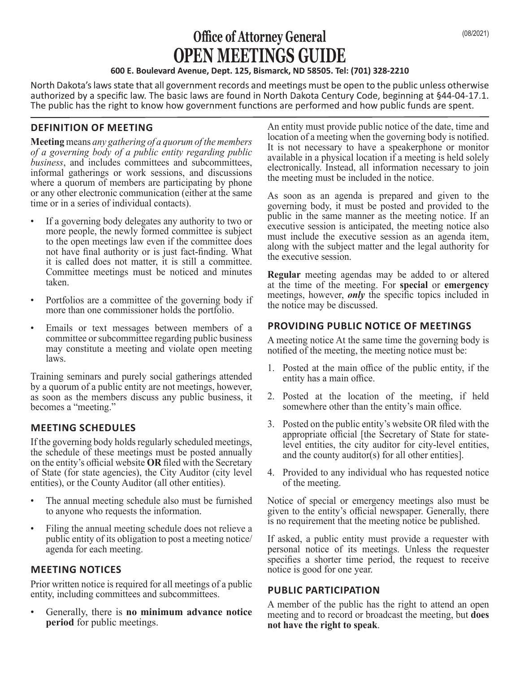# **Office of Attorney General** (08/2021) **OPEN MEETINGS GUIDE**

#### **600 E. Boulevard Avenue, Dept. 125, Bismarck, ND 58505. Tel: (701) 328-2210**

North Dakota's laws state that all government records and meetings must be open to the public unless otherwise authorized by a specific law. The basic laws are found in North Dakota Century Code, beginning at §44-04-17.1. The public has the right to know how government functions are performed and how public funds are spent.

## **DEFINITION OF MEETING**

**Meeting** means *any gathering of a quorum of the members of a governing body of a public entity regarding public business*, and includes committees and subcommittees, informal gatherings or work sessions, and discussions where a quorum of members are participating by phone or any other electronic communication (either at the same time or in a series of individual contacts).

- If a governing body delegates any authority to two or more people, the newly formed committee is subject to the open meetings law even if the committee does not have final authority or is just fact-finding. What it is called does not matter, it is still a committee. Committee meetings must be noticed and minutes taken.
- Portfolios are a committee of the governing body if more than one commissioner holds the portfolio.
- Emails or text messages between members of a committee or subcommittee regarding public business may constitute a meeting and violate open meeting laws.

Training seminars and purely social gatherings attended by a quorum of a public entity are not meetings, however, as soon as the members discuss any public business, it becomes a "meeting."

## **MEETING SCHEDULES**

If the governing body holds regularly scheduled meetings, the schedule of these meetings must be posted annually on the entity's official website **OR** filed with the Secretary of State (for state agencies), the City Auditor (city level entities), or the County Auditor (all other entities).

- The annual meeting schedule also must be furnished to anyone who requests the information.
- Filing the annual meeting schedule does not relieve a public entity of its obligation to post a meeting notice/ agenda for each meeting.

## **MEETING NOTICES**

Prior written notice is required for all meetings of a public entity, including committees and subcommittees.

• Generally, there is **no minimum advance notice period** for public meetings.

An entity must provide public notice of the date, time and location of a meeting when the governing body is notified. It is not necessary to have a speakerphone or monitor available in a physical location if a meeting is held solely electronically. Instead, all information necessary to join the meeting must be included in the notice.

As soon as an agenda is prepared and given to the governing body, it must be posted and provided to the public in the same manner as the meeting notice. If an executive session is anticipated, the meeting notice also must include the executive session as an agenda item, along with the subject matter and the legal authority for the executive session.

**Regular** meeting agendas may be added to or altered at the time of the meeting. For **special** or **emergency** meetings, however, *only* the specific topics included in the notice may be discussed.

### **PROVIDING PUBLIC NOTICE OF MEETINGS**

A meeting notice At the same time the governing body is notified of the meeting, the meeting notice must be:

- 1. Posted at the main office of the public entity, if the entity has a main office.
- 2. Posted at the location of the meeting, if held somewhere other than the entity's main office.
- 3. Posted on the public entity's website OR filed with the appropriate official [the Secretary of State for statelevel entities, the city auditor for city-level entities, and the county auditor(s) for all other entities].
- 4. Provided to any individual who has requested notice of the meeting.

Notice of special or emergency meetings also must be given to the entity's official newspaper. Generally, there is no requirement that the meeting notice be published.

If asked, a public entity must provide a requester with personal notice of its meetings. Unless the requester specifies a shorter time period, the request to receive notice is good for one year.

#### **PUBLIC PARTICIPATION**

A member of the public has the right to attend an open meeting and to record or broadcast the meeting, but **does not have the right to speak**.